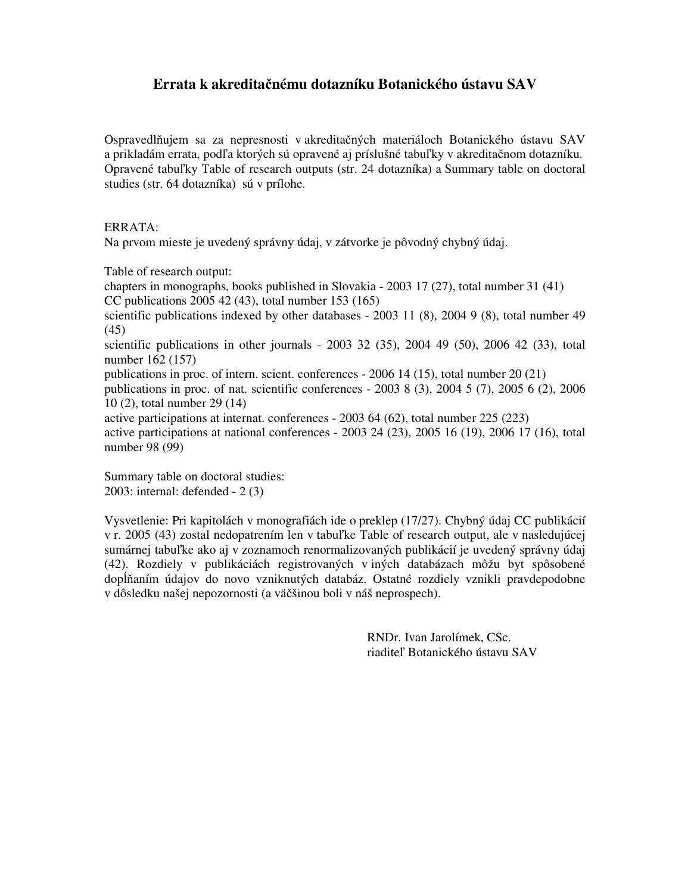# **Errata k akredita**č**nému dotazníku Botanického ústavu SAV**

Ospravedlňujem sa za nepresnosti v akreditačných materiáloch Botanického ústavu SAV a prikladám errata, podľa ktorých sú opravené aj príslušné tabuľky v akreditačnom dotazníku. Opravené tabuľky Table of research outputs (str. 24 dotazníka) a Summary table on doctoral studies (str. 64 dotazníka) sú v prílohe.

### ERRATA:

Na prvom mieste je uvedený správny údaj, v zátvorke je pôvodný chybný údaj.

Table of research output:

chapters in monographs, books published in Slovakia - 2003 17 (27), total number 31 (41) CC publications 2005 42 (43), total number 153 (165)

scientific publications indexed by other databases - 2003 11 (8), 2004 9 (8), total number 49 (45)

scientific publications in other journals - 2003 32 (35), 2004 49 (50), 2006 42 (33), total number 162 (157)

publications in proc. of intern. scient. conferences - 2006 14 (15), total number 20 (21)

publications in proc. of nat. scientific conferences - 2003 8 (3), 2004 5 (7), 2005 6 (2), 2006 10 (2), total number 29 (14)

active participations at internat. conferences - 2003 64 (62), total number 225 (223) active participations at national conferences - 2003 24 (23), 2005 16 (19), 2006 17 (16), total number 98 (99)

Summary table on doctoral studies: 2003: internal: defended - 2 (3)

Vysvetlenie: Pri kapitolách v monografiách ide o preklep (17/27). Chybný údaj CC publikácií v r. 2005 (43) zostal nedopatrením len v tabuľke Table of research output, ale v nasledujúcej sumárnej tabuľke ako aj v zoznamoch renormalizovaných publikácií je uvedený správny údaj (42). Rozdiely v publikáciách registrovaných v iných databázach môžu byt spôsobené dopĺňaním údajov do novo vzniknutých databáz. Ostatné rozdiely vznikli pravdepodobne v dôsledku našej nepozornosti (a väčšinou boli v náš neprospech).

> RNDr. Ivan Jarolímek, CSc. riaditeľ Botanického ústavu SAV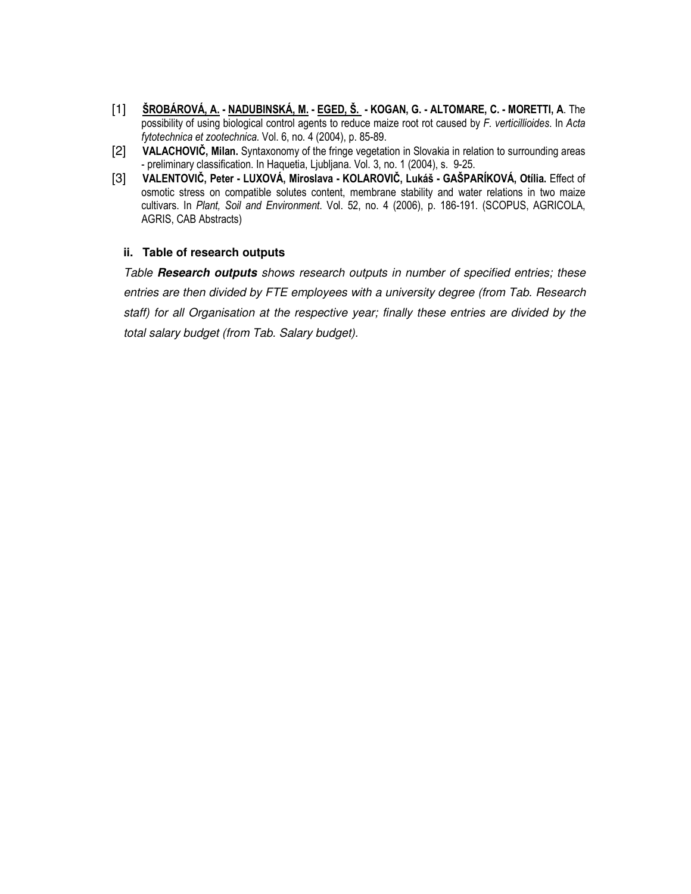- [1] ŠROBÁROVÁ, A. NADUBINSKÁ, M. EGED, Š. KOGAN, G. ALTOMARE, C. MORETTI, A. The possibility of using biological control agents to reduce maize root rot caused by F. verticillioides. In Acta fytotechnica et zootechnica. Vol. 6, no. 4 (2004), p. 85-89.
- [2] VALACHOVIČ, Milan. Syntaxonomy of the fringe vegetation in Slovakia in relation to surrounding areas - preliminary classification. In Haquetia, Ljubljana. Vol. 3, no. 1 (2004), s. 9-25.
- [3] VALENTOVIČ, Peter LUXOVÁ, Miroslava KOLAROVIČ, Lukáš GAŠPARÍKOVÁ, Otília. Effect of osmotic stress on compatible solutes content, membrane stability and water relations in two maize cultivars. In Plant, Soil and Environment. Vol. 52, no. 4 (2006), p. 186-191. (SCOPUS, AGRICOLA, AGRIS, CAB Abstracts)

#### **ii. Table of research outputs**

Table **Research outputs** shows research outputs in number of specified entries; these entries are then divided by FTE employees with a university degree (from Tab. Research staff) for all Organisation at the respective year; finally these entries are divided by the total salary budget (from Tab. Salary budget).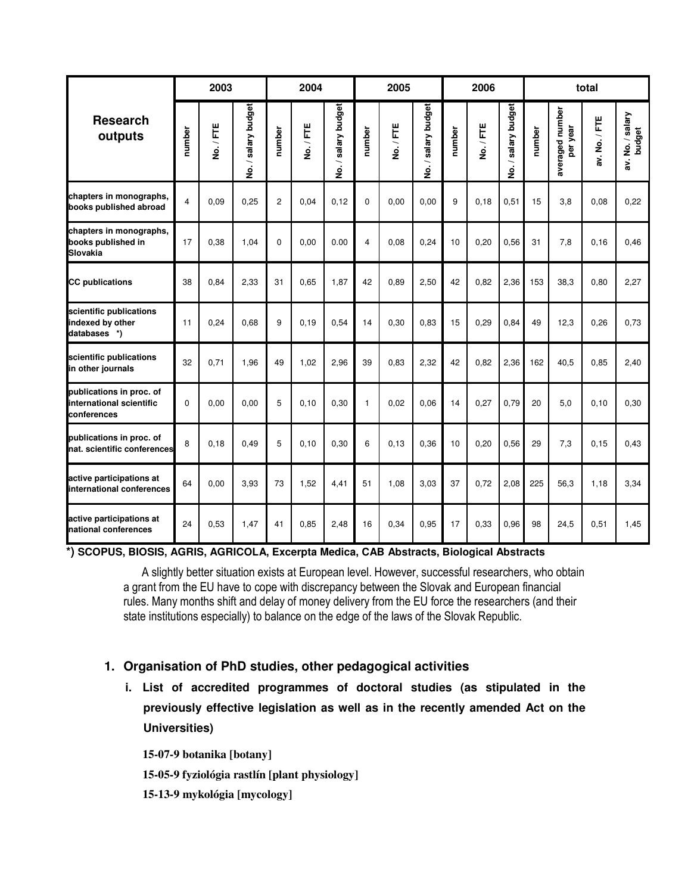| <b>Research</b><br>outputs                                          | 2003           |         |                     | 2004           |         |                    | 2005           |         |                     | 2006   |         |                                     | total  |                             |               |                            |
|---------------------------------------------------------------------|----------------|---------|---------------------|----------------|---------|--------------------|----------------|---------|---------------------|--------|---------|-------------------------------------|--------|-----------------------------|---------------|----------------------------|
|                                                                     | number         | No./FTE | No. / salary budget | number         | No./FTE | salary budget<br>ġ | number         | No./FTE | No. / salary budget | number | No./FTE | salary budget<br>$\dot{\mathsf{z}}$ | number | averaged number<br>per year | av. No. / FTE | av. No. / salary<br>budget |
| chapters in monographs,<br>books published abroad                   | $\overline{4}$ | 0,09    | 0,25                | $\overline{2}$ | 0,04    | 0,12               | $\Omega$       | 0,00    | 0,00                | 9      | 0,18    | 0,51                                | 15     | 3,8                         | 0,08          | 0,22                       |
| chapters in monographs,<br>books published in<br>Slovakia           | 17             | 0,38    | 1.04                | $\Omega$       | 0.00    | 0.00               | $\overline{4}$ | 0.08    | 0,24                | 10     | 0,20    | 0,56                                | 31     | 7,8                         | 0, 16         | 0,46                       |
| <b>CC</b> publications                                              | 38             | 0.84    | 2,33                | 31             | 0.65    | 1,87               | 42             | 0,89    | 2,50                | 42     | 0,82    | 2,36                                | 153    | 38,3                        | 0,80          | 2,27                       |
| scientific publications<br>indexed by other<br>databases *)         | 11             | 0,24    | 0.68                | 9              | 0.19    | 0,54               | 14             | 0,30    | 0,83                | 15     | 0,29    | 0,84                                | 49     | 12,3                        | 0,26          | 0,73                       |
| scientific publications<br>in other journals                        | 32             | 0,71    | 1,96                | 49             | 1,02    | 2,96               | 39             | 0,83    | 2,32                | 42     | 0,82    | 2,36                                | 162    | 40,5                        | 0,85          | 2,40                       |
| publications in proc. of<br>international scientific<br>conferences | $\Omega$       | 0,00    | 0.00                | 5              | 0.10    | 0,30               | $\mathbf{1}$   | 0.02    | 0,06                | 14     | 0,27    | 0,79                                | 20     | 5,0                         | 0, 10         | 0,30                       |
| publications in proc. of<br>nat. scientific conferences             | 8              | 0,18    | 0.49                | 5              | 0.10    | 0,30               | 6              | 0, 13   | 0,36                | 10     | 0,20    | 0,56                                | 29     | 7,3                         | 0, 15         | 0,43                       |
| active participations at<br>international conferences               | 64             | 0.00    | 3.93                | 73             | 1.52    | 4.41               | 51             | 1.08    | 3,03                | 37     | 0.72    | 2,08                                | 225    | 56.3                        | 1.18          | 3,34                       |
| active participations at<br>national conferences                    | 24             | 0,53    | 1,47                | 41             | 0,85    | 2,48               | 16             | 0,34    | 0,95                | 17     | 0,33    | 0,96                                | 98     | 24,5                        | 0,51          | 1,45                       |

**\*) SCOPUS, BIOSIS, AGRIS, AGRICOLA, Excerpta Medica, CAB Abstracts, Biological Abstracts**

A slightly better situation exists at European level. However, successful researchers, who obtain a grant from the EU have to cope with discrepancy between the Slovak and European financial rules. Many months shift and delay of money delivery from the EU force the researchers (and their state institutions especially) to balance on the edge of the laws of the Slovak Republic.

### **1. Organisation of PhD studies, other pedagogical activities**

**i. List of accredited programmes of doctoral studies (as stipulated in the previously effective legislation as well as in the recently amended Act on the Universities)**

**15-07-9 botanika [botany]** 

**15-05-9 fyziológia rastlín [plant physiology]** 

**15-13-9 mykológia [mycology]**